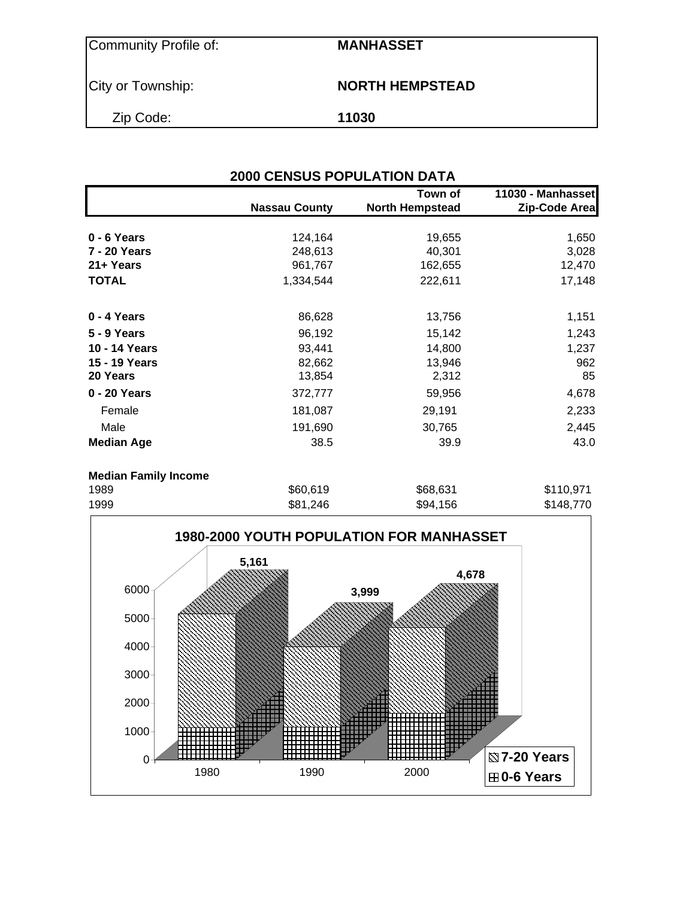Community Profile of: **MANHASSET**

City or Township: **NORTH HEMPSTEAD** 

Zip Code: **11030**

| <b>2000 CENSUS POPULATION DATA</b> |                      |                                   |                                    |  |  |  |  |
|------------------------------------|----------------------|-----------------------------------|------------------------------------|--|--|--|--|
|                                    | <b>Nassau County</b> | Town of<br><b>North Hempstead</b> | 11030 - Manhasset<br>Zip-Code Area |  |  |  |  |
| $0 - 6$ Years                      | 124,164              | 19,655                            | 1,650                              |  |  |  |  |
| 7 - 20 Years                       | 248,613              | 40,301                            | 3,028                              |  |  |  |  |
| 21+ Years                          | 961,767              | 162,655                           | 12,470                             |  |  |  |  |
| <b>TOTAL</b>                       | 1,334,544            | 222,611                           | 17,148                             |  |  |  |  |
| 0 - 4 Years                        | 86,628               | 13,756                            | 1,151                              |  |  |  |  |
| 5 - 9 Years                        | 96,192               | 15,142                            | 1,243                              |  |  |  |  |
| 10 - 14 Years                      | 93,441               | 14,800                            | 1,237                              |  |  |  |  |
| 15 - 19 Years                      | 82,662               | 13,946                            | 962                                |  |  |  |  |
| 20 Years                           | 13,854               | 2,312                             | 85                                 |  |  |  |  |
| 0 - 20 Years                       | 372,777              | 59,956                            | 4,678                              |  |  |  |  |
| Female                             | 181,087              | 29,191                            | 2,233                              |  |  |  |  |
| Male                               | 191,690              | 30,765                            | 2,445                              |  |  |  |  |
| <b>Median Age</b>                  | 38.5                 | 39.9                              | 43.0                               |  |  |  |  |
| <b>Median Family Income</b>        |                      |                                   |                                    |  |  |  |  |
| 1989                               | \$60,619             | \$68,631                          | \$110,971                          |  |  |  |  |
|                                    |                      |                                   | $ - -$                             |  |  |  |  |

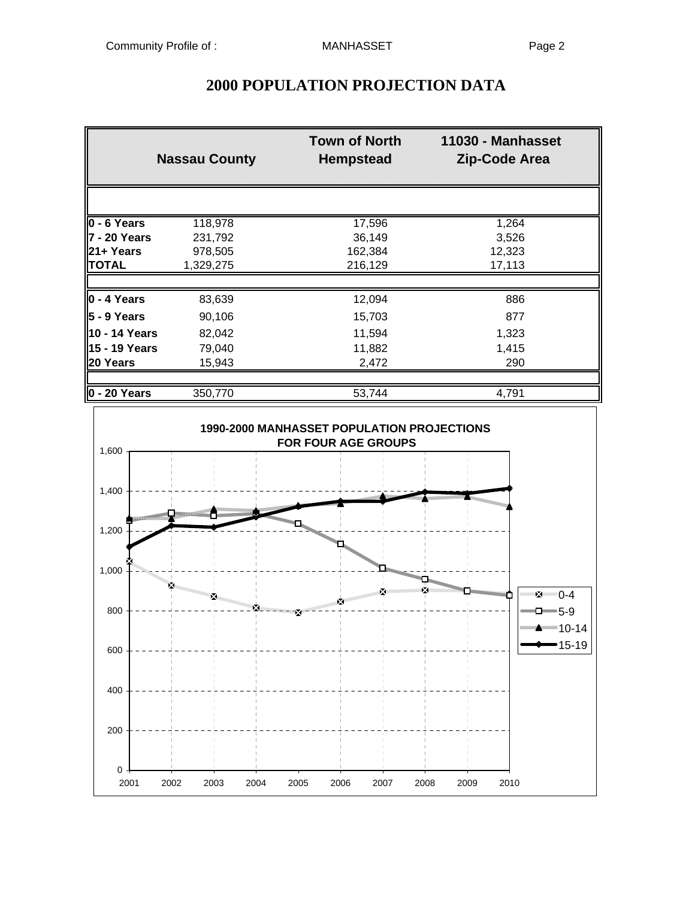|                          | <b>Nassau County</b> | <b>Town of North</b><br><b>Hempstead</b> | 11030 - Manhasset<br>Zip-Code Area |
|--------------------------|----------------------|------------------------------------------|------------------------------------|
|                          |                      |                                          |                                    |
| $\overline{0}$ - 6 Years | 118,978              | 17,596                                   | 1,264                              |
| l7 - 20 Years            | 231,792              | 36,149                                   | 3,526                              |
| 21+ Years                | 978,505              | 162,384                                  | 12,323                             |
| TOTAL                    | 1,329,275            | 216,129                                  | 17,113                             |
|                          |                      |                                          |                                    |
| $\vert$ 0 - 4 Years      | 83,639               | 12,094                                   | 886                                |
| 5 - 9 Years              | 90,106               | 15,703                                   | 877                                |
| 10 - 14 Years            | 82,042               | 11,594                                   | 1,323                              |
| l15 - 19 Years           | 79,040               | 11,882                                   | 1,415                              |
| 20 Years                 | 15,943               | 2,472                                    | 290                                |
|                          |                      |                                          |                                    |
| 0 - 20 Years             | 350,770              | 53,744                                   | 4,791                              |

## **2000 POPULATION PROJECTION DATA**

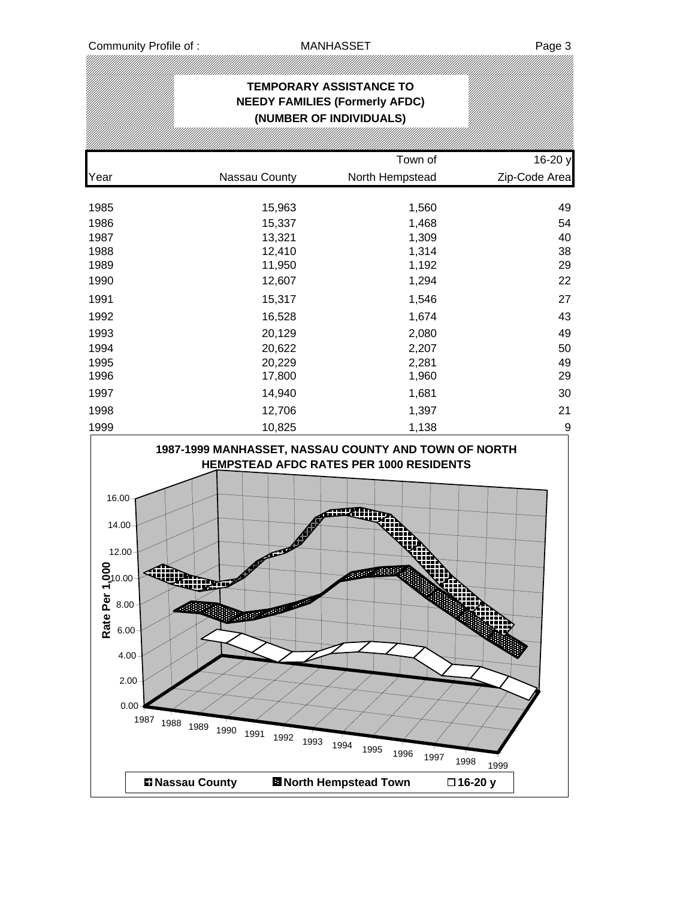|                                                                                                                      |                                                        | <b>TEMPORARY ASSISTANCE TO</b><br><b>NEEDY FAMILIES (Formerly AFDC)</b><br>(NUMBER OF INDIVIDUALS)     |                  |
|----------------------------------------------------------------------------------------------------------------------|--------------------------------------------------------|--------------------------------------------------------------------------------------------------------|------------------|
|                                                                                                                      |                                                        |                                                                                                        |                  |
|                                                                                                                      |                                                        | Town of                                                                                                | 16-20 y          |
| Year                                                                                                                 | Nassau County                                          | North Hempstead                                                                                        | Zip-Code Area    |
| 1985                                                                                                                 | 15,963                                                 | 1,560                                                                                                  | 49               |
| 1986                                                                                                                 | 15,337                                                 | 1,468                                                                                                  | 54               |
| 1987                                                                                                                 | 13,321                                                 | 1,309                                                                                                  | 40               |
| 1988                                                                                                                 | 12,410                                                 | 1,314                                                                                                  | 38               |
| 1989                                                                                                                 | 11,950                                                 | 1,192                                                                                                  | 29               |
| 1990                                                                                                                 | 12,607                                                 | 1,294                                                                                                  | 22               |
| 1991                                                                                                                 | 15,317                                                 | 1,546                                                                                                  | 27               |
| 1992                                                                                                                 | 16,528                                                 | 1,674                                                                                                  | 43               |
| 1993                                                                                                                 | 20,129                                                 | 2,080                                                                                                  | 49               |
| 1994                                                                                                                 | 20,622                                                 | 2,207                                                                                                  | 50               |
| 1995                                                                                                                 | 20,229                                                 | 2,281                                                                                                  | 49               |
| 1996                                                                                                                 | 17,800                                                 | 1,960                                                                                                  | 29               |
| 1997                                                                                                                 | 14,940                                                 | 1,681                                                                                                  | 30               |
| 1998                                                                                                                 | 12,706                                                 | 1,397                                                                                                  | 21               |
| 1999                                                                                                                 | 10,825                                                 | 1,138<br>1987-1999 MANHASSET, NASSAU COUNTY AND TOWN OF NORTH                                          | 9                |
| 16.00<br>14.00<br>12.00<br>$S_{10.00}$<br>᠇<br>Rate Per<br>8.00<br>6.00<br>4.00<br>2.00<br>0.00<br>1987<br>1988 1989 | <b>Program Control</b><br>1990<br>1991<br>1992<br>1993 | <b>HEMPSTEAD AFDC RATES PER 1000 RESIDENTS</b><br><b>Ballion and B</b><br>1994<br>1995<br>1996<br>1997 | 1998             |
| <b>El Nassau County</b>                                                                                              |                                                        | <b>El North Hempstead Town</b>                                                                         | 1999<br>□16-20 y |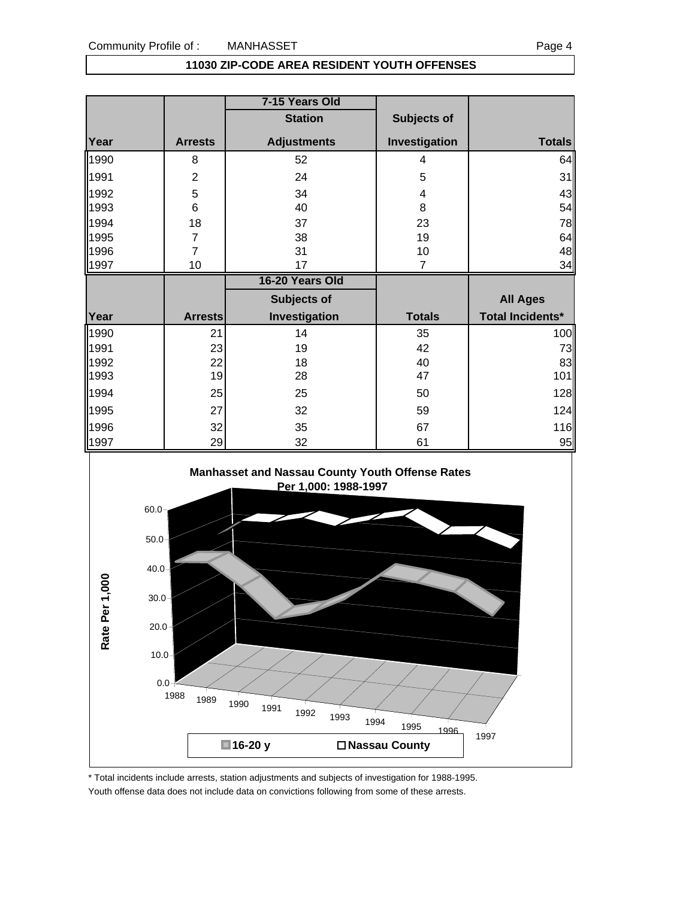### **11030 ZIP-CODE AREA RESIDENT YOUTH OFFENSES**

|      |                | 7-15 Years Old     |                |                         |
|------|----------------|--------------------|----------------|-------------------------|
|      |                | <b>Station</b>     | Subjects of    |                         |
| Year | <b>Arrests</b> | <b>Adjustments</b> | Investigation  | <b>Totals</b>           |
| 1990 | 8              | 52                 | 4              | 64                      |
| 1991 | $\overline{2}$ | 24                 | 5              | 31                      |
| 1992 | 5              | 34                 | 4              | 43                      |
| 1993 | 6              | 40                 | 8              | 54                      |
| 1994 | 18             | 37                 | 23             | 78                      |
| 1995 | $\overline{7}$ | 38                 | 19             | 64                      |
| 1996 | $\overline{7}$ | 31                 | 10             | 48                      |
| 1997 | 10             | 17                 | $\overline{7}$ | 34                      |
|      |                |                    |                |                         |
|      |                | 16-20 Years Old    |                |                         |
|      |                | <b>Subjects of</b> |                | <b>All Ages</b>         |
| Year | <b>Arrests</b> | Investigation      | <b>Totals</b>  | <b>Total Incidents*</b> |
| 1990 | 21             | 14                 | 35             |                         |
| 1991 | 23             | 19                 | 42             | 100<br>73               |
| 1992 | 22             | 18                 | 40             | 83                      |
| 1993 | 19             | 28                 | 47             | 101                     |
| 1994 | 25             | 25                 | 50             |                         |
| 1995 | 27             | 32                 | 59             |                         |
| 1996 | 32             | 35                 | 67             | 128<br>124<br>116       |



<sup>\*</sup> Total incidents include arrests, station adjustments and subjects of investigation for 1988-1995. Youth offense data does not include data on convictions following from some of these arrests.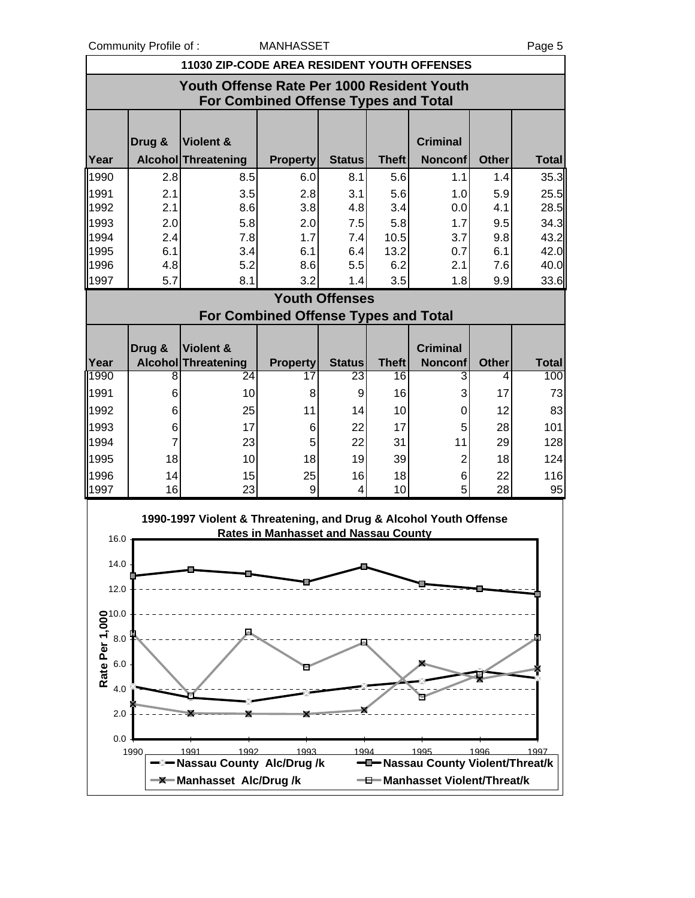Community Profile of : MANHASSET And Decree that the Community Profile of : Page 5

| 11030 ZIP-CODE AREA RESIDENT YOUTH OFFENSES                                               |            |                                                                   |                                             |                       |              |                                   |              |              |  |
|-------------------------------------------------------------------------------------------|------------|-------------------------------------------------------------------|---------------------------------------------|-----------------------|--------------|-----------------------------------|--------------|--------------|--|
|                                                                                           |            |                                                                   |                                             |                       |              |                                   |              |              |  |
| Youth Offense Rate Per 1000 Resident Youth<br><b>For Combined Offense Types and Total</b> |            |                                                                   |                                             |                       |              |                                   |              |              |  |
|                                                                                           |            |                                                                   |                                             |                       |              |                                   |              |              |  |
|                                                                                           |            |                                                                   |                                             |                       |              |                                   |              |              |  |
|                                                                                           | Drug &     | Violent &                                                         |                                             |                       |              | <b>Criminal</b>                   |              |              |  |
| Year                                                                                      |            | Alcohol Threatening                                               | <b>Property</b>                             | <b>Status</b>         | <b>Theft</b> | <b>Nonconf</b>                    | <b>Other</b> | <b>Total</b> |  |
| 1990                                                                                      | 2.8        | 8.5                                                               | 6.0                                         | 8.1                   | 5.6          | 1.1                               | 1.4          | 35.3         |  |
| 1991                                                                                      | 2.1        | 3.5                                                               | 2.8                                         | 3.1                   | 5.6          | 1.0                               | 5.9          | 25.5         |  |
| 1992<br>1993                                                                              | 2.1<br>2.0 | 8.6<br>5.8                                                        | 3.8<br>2.0                                  | 4.8<br>7.5            | 3.4<br>5.8   | 0.0<br>1.7                        | 4.1<br>9.5   | 28.5<br>34.3 |  |
| 1994                                                                                      | 2.4        | 7.8                                                               | 1.7                                         | 7.4                   | 10.5         | 3.7                               | 9.8          | 43.2         |  |
| 1995                                                                                      | 6.1        | 3.4                                                               | 6.1                                         | 6.4                   | 13.2         | 0.7                               | 6.1          | 42.0         |  |
| 1996                                                                                      | 4.8        | 5.2                                                               | 8.6                                         | 5.5                   | 6.2          | 2.1                               | 7.6          | 40.0         |  |
| 1997                                                                                      | 5.7        | 8.1                                                               | 3.2                                         | 1.4                   | 3.5          | 1.8                               | 9.9          | 33.6         |  |
|                                                                                           |            |                                                                   |                                             | <b>Youth Offenses</b> |              |                                   |              |              |  |
|                                                                                           |            |                                                                   | <b>For Combined Offense Types and Total</b> |                       |              |                                   |              |              |  |
|                                                                                           |            |                                                                   |                                             |                       |              |                                   |              |              |  |
| Year                                                                                      | Drug &     | Violent &<br>Alcohol Threatening                                  | <b>Property</b>                             | <b>Status</b>         | <b>Theft</b> | <b>Criminal</b><br><b>Nonconf</b> | <b>Other</b> | <b>Total</b> |  |
| 1990                                                                                      | 8          | 24                                                                | 17                                          | 23                    | 16           | 3                                 | 4            | 100          |  |
| 1991                                                                                      | 6          | 10                                                                | 8                                           | 9                     | 16           | 3                                 | 17           | 73           |  |
| 1992                                                                                      | 6          | 25                                                                | 11                                          | 14                    | 10           | 0                                 | 12           | 83           |  |
| 1993                                                                                      | 6          | 17                                                                | 6                                           | 22                    | 17           | 5                                 | 28           | 101          |  |
| 1994                                                                                      | 7          | 23                                                                | 5                                           | 22                    | 31           | 11                                | 29           | 128          |  |
| 1995                                                                                      | 18         | 10                                                                | 18                                          | 19                    | 39           | $\overline{c}$                    | 18           | 124          |  |
| 1996                                                                                      | 14         | 15                                                                | 25                                          | 16                    | 18           | 6                                 | 22           | 116          |  |
| 1997                                                                                      | 16         | 23                                                                | 9                                           | 4                     | 10           | 5                                 | 28           | 95           |  |
|                                                                                           |            | 1990-1997 Violent & Threatening, and Drug & Alcohol Youth Offense |                                             |                       |              |                                   |              |              |  |
| 16.0                                                                                      |            |                                                                   | <b>Rates in Manhasset and Nassau County</b> |                       |              |                                   |              |              |  |
|                                                                                           |            |                                                                   |                                             |                       |              |                                   |              |              |  |
| 14.0                                                                                      |            |                                                                   |                                             |                       |              |                                   |              |              |  |
| 12.0                                                                                      |            |                                                                   |                                             |                       |              |                                   |              |              |  |
|                                                                                           |            |                                                                   |                                             |                       |              |                                   |              |              |  |
|                                                                                           |            |                                                                   |                                             |                       |              |                                   |              |              |  |
|                                                                                           |            |                                                                   |                                             |                       |              |                                   |              |              |  |
|                                                                                           |            |                                                                   |                                             |                       |              |                                   |              |              |  |
| Rate Per 1,000<br>Rate Per 3.0<br>4.0                                                     |            |                                                                   |                                             |                       |              |                                   |              |              |  |
| 4.0                                                                                       |            |                                                                   |                                             |                       |              |                                   |              |              |  |
| 2.0                                                                                       |            |                                                                   |                                             |                       |              |                                   |              |              |  |
|                                                                                           |            |                                                                   |                                             |                       |              |                                   |              |              |  |
| 0.0                                                                                       | 1990       | 1992<br>1991                                                      | 1993                                        | 1994                  |              | 1995                              | 1996         | 1997         |  |
|                                                                                           |            | <b>Nassau County Alc/Drug/k</b>                                   |                                             |                       |              | Massau County Violent/Threat/k    |              |              |  |
|                                                                                           |            | <b>-X</b> Manhasset Alc/Drug/k                                    |                                             |                       |              | -0-Manhasset Violent/Threat/k     |              |              |  |
|                                                                                           |            |                                                                   |                                             |                       |              |                                   |              |              |  |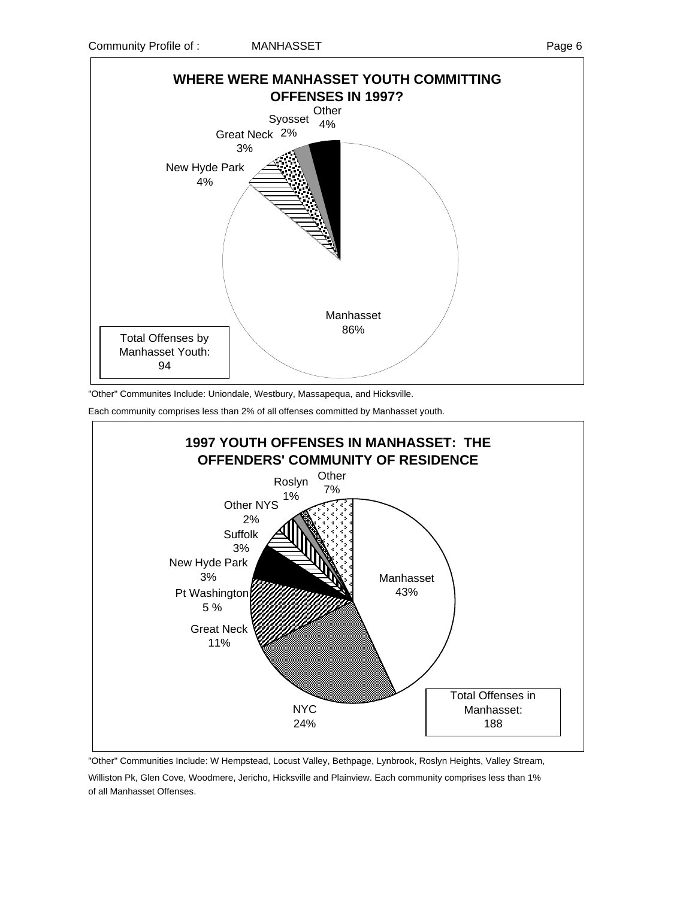

"Other" Communites Include: Uniondale, Westbury, Massapequa, and Hicksville.

Each community comprises less than 2% of all offenses committed by Manhasset youth.



"Other" Communities Include: W Hempstead, Locust Valley, Bethpage, Lynbrook, Roslyn Heights, Valley Stream, Williston Pk, Glen Cove, Woodmere, Jericho, Hicksville and Plainview. Each community comprises less than 1% of all Manhasset Offenses.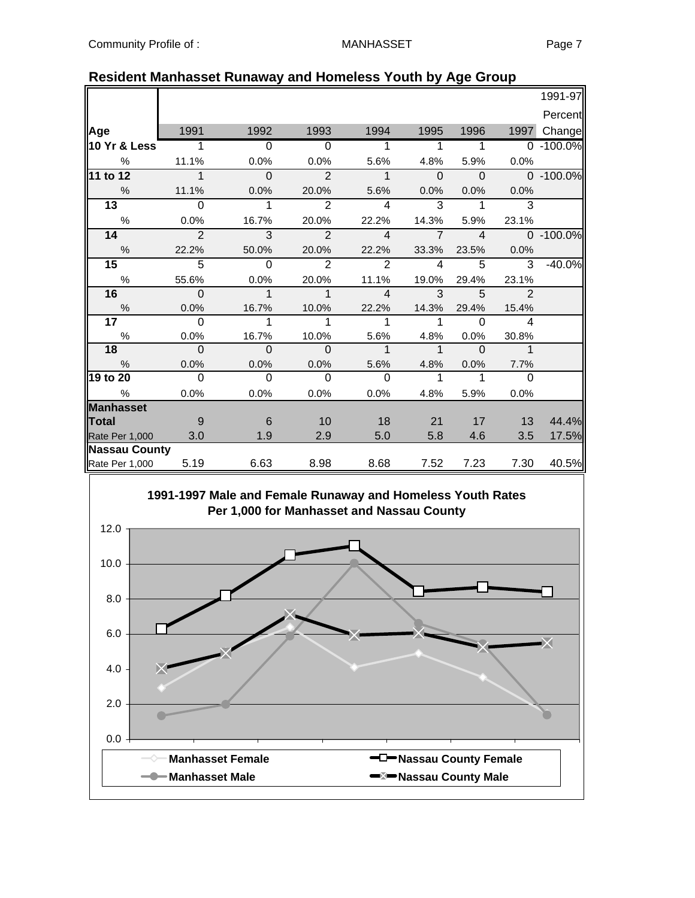|                      |                          |                          |                          |                          |                            |                            |                            | 1991-97       |
|----------------------|--------------------------|--------------------------|--------------------------|--------------------------|----------------------------|----------------------------|----------------------------|---------------|
|                      |                          |                          |                          |                          |                            |                            |                            | Percent       |
| Age                  | 1991                     | 1992                     | 1993                     | 1994                     | 1995                       | 1996                       | 1997                       | Change        |
| 10 Yr & Less         | $\overline{1}$           | $\overline{\phantom{0}}$ | $\overline{\phantom{0}}$ | $\overline{\phantom{0}}$ | $\overline{1}$             | $\sim$ 1                   |                            | $0 - 100.0\%$ |
| %                    | 11.1%                    | 0.0%                     | 0.0%                     | 5.6%                     | 4.8%                       | 5.9%                       | $0.0\%$                    |               |
| 11 to 12             | $\overline{1}$           | $\overline{0}$           | $\overline{2}$           | $\overline{1}$           | $\overline{0}$             | $\overline{0}$             |                            | $0 - 100.0\%$ |
| $\%$                 | 11.1%                    | 0.0%                     | 20.0%                    | 5.6%                     | 0.0%                       | $0.0\%$                    | 0.0%                       |               |
| 13                   | $\Omega$                 | $\mathbf{1}$             | 2                        | $\overline{\mathcal{A}}$ | 3                          | $\mathbf{1}$               | 3                          |               |
| %                    | 0.0%                     | 16.7%                    | 20.0%                    | 22.2%                    | 14.3%                      | 5.9%                       | 23.1%                      |               |
| 14                   | $\overline{2}$           | $\overline{\mathbf{3}}$  | $\overline{2}$           | $\overline{4}$           | $\overline{7}$             | $\overline{4}$             |                            | $0 - 100.0\%$ |
| $\frac{0}{0}$        | 22.2%                    | 50.0%                    | 20.0%                    | 22.2%                    | 33.3%                      | 23.5%                      | 0.0%                       |               |
| 15                   | $\overline{5}$           | $\Omega$                 | $\overline{2}$           | 2                        | $\overline{4}$             | $\overline{5}$             | $\overline{3}$             | $-40.0%$      |
| $\%$                 | 55.6%                    | 0.0%                     | 20.0%                    | 11.1%                    | 19.0%                      | 29.4%                      | 23.1%                      |               |
| 16                   | $\overline{\phantom{0}}$ | $\overline{1}$           | $\overline{1}$           | $\overline{4}$           | $\overline{\phantom{a}}$ 3 | $\overline{\phantom{0}}$ 5 | $\overline{2}$             |               |
| $\%$                 | 0.0%                     | 16.7%                    | 10.0%                    | 22.2%                    | 14.3%                      | 29.4%                      | 15.4%                      |               |
| 17 <sup>7</sup>      | $\bigcirc$               | $\mathbf{1}$             | 1                        | 1                        | $\mathbf{1}$               | $\Omega$                   | $\overline{4}$             |               |
| $\%$                 | 0.0%                     | 16.7%                    | 10.0%                    | 5.6%                     | 4.8%                       | $0.0\%$                    | 30.8%                      |               |
| 18                   | $\overline{0}$           | $\overline{\phantom{0}}$ | $\overline{\mathbf{0}}$  | $\overline{\phantom{a}}$ | $\overline{\phantom{a}}$ 1 | $\overline{0}$             | $\overline{\phantom{1}}$ 1 |               |
| $\frac{0}{0}$        | 0.0%                     | 0.0%                     | 0.0%                     | 5.6%                     | 4.8%                       | 0.0%                       | 7.7%                       |               |
| 19 to 20             | $\overline{0}$           | $\Omega$                 | $\Omega$                 | $\Omega$                 | $\mathbf{1}$               | $\mathbf{1}$               | $\Omega$                   |               |
| $\%$                 | 0.0%                     | $0.0\%$                  | $0.0\%$                  | $0.0\%$                  | 4.8%                       | 5.9%                       | 0.0%                       |               |
| <b>Manhasset</b>     |                          |                          |                          |                          |                            |                            |                            |               |
| Total                | - 9                      | - 6                      | $-10$                    | 18                       | 21                         | 17                         | $\overline{13}$            | 44.4%         |
| Rate Per 1,000       | 3.0                      | 1.9                      | 2.9                      | 5.0                      | 5.8                        | 4.6                        | 3.5                        | 17.5%         |
| <b>Nassau County</b> |                          |                          |                          |                          |                            |                            |                            |               |
| Rate Per 1,000 5.19  |                          | 6.63                     | 8.98                     | 8.68                     | 7.52                       | 7.23                       | 7.30                       | 40.5%         |

### **Resident Manhasset Runaway and Homeless Youth by Age Group**

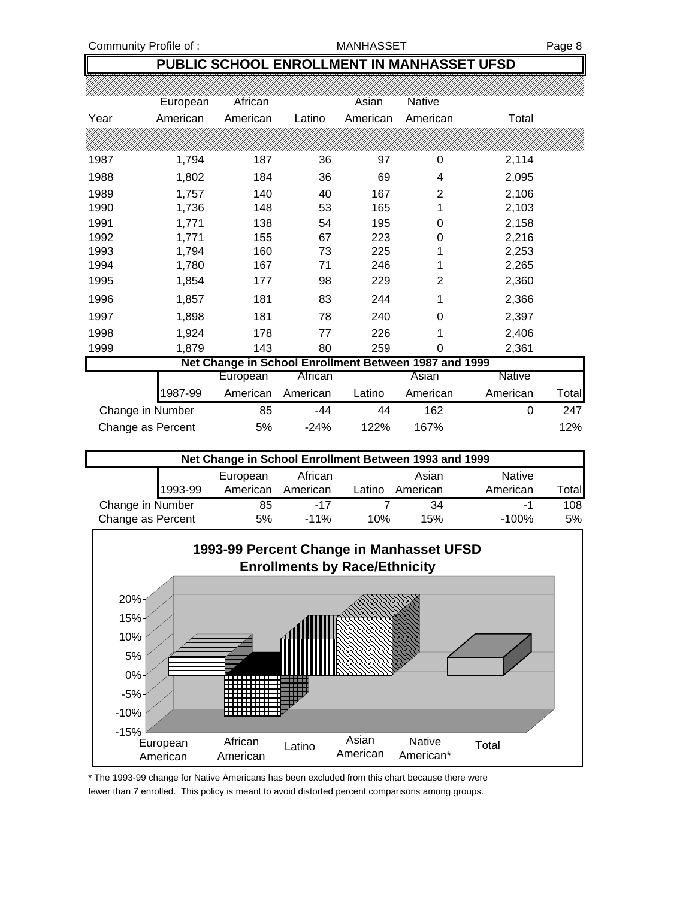Community Profile of : The MANHASSET Register of the MANHASSET Rage 8

## **PUBLIC SCHOOL ENROLLMENT IN MANHASSET UFSD**

|      | European          | African                                               |          | Asian    | <b>Native</b> |               |       |
|------|-------------------|-------------------------------------------------------|----------|----------|---------------|---------------|-------|
| Year | American          | American                                              | Latino   | American | American      | Total         |       |
|      |                   |                                                       |          |          |               |               |       |
| 1987 | 1,794             | 187                                                   | 36       | 97       | 0             | 2,114         |       |
| 1988 | 1,802             | 184                                                   | 36       | 69       | 4             | 2,095         |       |
| 1989 | 1,757             | 140                                                   | 40       | 167      | 2             | 2,106         |       |
| 1990 | 1,736             | 148                                                   | 53       | 165      | 1             | 2,103         |       |
| 1991 | 1,771             | 138                                                   | 54       | 195      | 0             | 2,158         |       |
| 1992 | 1,771             | 155                                                   | 67       | 223      | 0             | 2,216         |       |
| 1993 | 1,794             | 160                                                   | 73       | 225      | 1             | 2,253         |       |
| 1994 | 1,780             | 167                                                   | 71       | 246      | 1             | 2,265         |       |
| 1995 | 1,854             | 177                                                   | 98       | 229      | 2             | 2,360         |       |
| 1996 | 1,857             | 181                                                   | 83       | 244      | 1             | 2,366         |       |
| 1997 | 1,898             | 181                                                   | 78       | 240      | 0             | 2,397         |       |
| 1998 | 1,924             | 178                                                   | 77       | 226      | 1             | 2,406         |       |
| 1999 | 1,879             | 143                                                   | 80       | 259      | 0             | 2,361         |       |
|      |                   | Net Change in School Enrollment Between 1987 and 1999 |          |          |               |               |       |
|      |                   | European                                              | African  |          | Asian         | <b>Native</b> |       |
|      | 1987-99           | American                                              | American | Latino   | American      | American      | Total |
|      | Change in Number  | 85                                                    | -44      | 44       | 162           | 0             | 247   |
|      | Change as Percent | 5%                                                    | $-24%$   | 122%     | 167%          |               | 12%   |

| Net Change in School Enrollment Between 1993 and 1999 |         |          |          |        |          |               |      |
|-------------------------------------------------------|---------|----------|----------|--------|----------|---------------|------|
|                                                       |         | European | African  |        | Asian    | <b>Native</b> |      |
|                                                       | 1993-99 | American | American | Latino | American | American      | otal |
| Change in Number                                      |         | 85       | -17      |        | 34       | нU            | 108  |
| Change as Percent                                     |         | 5%       | $-11\%$  | 10%    | 15%      | $-100%$       | 5%   |



\* The 1993-99 change for Native Americans has been excluded from this chart because there were fewer than 7 enrolled. This policy is meant to avoid distorted percent comparisons among groups.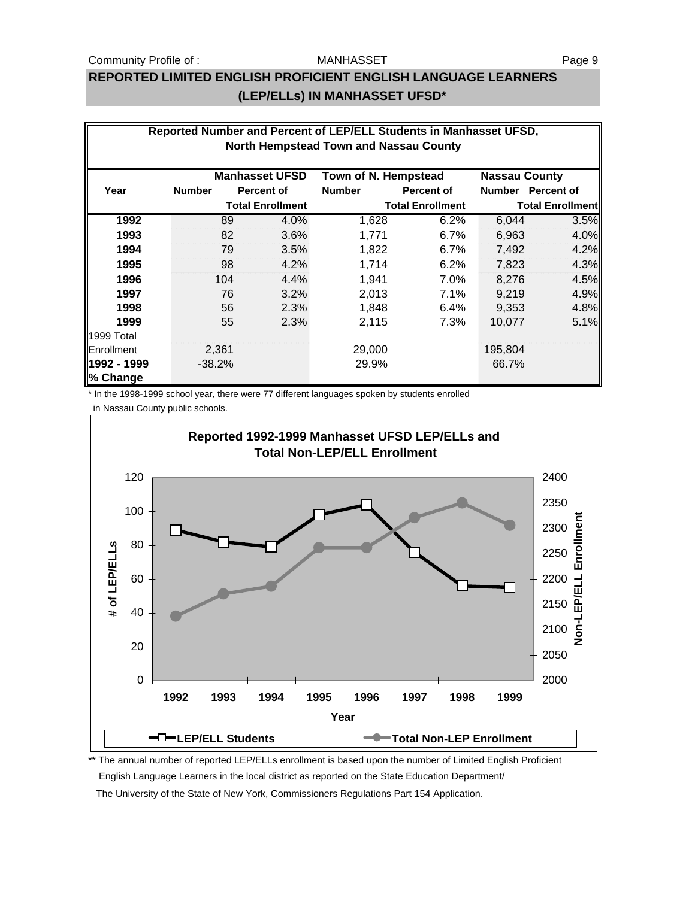#### Community Profile of : The MANHASSET Community Profile of :

#### MANHASSET

## **REPORTED LIMITED ENGLISH PROFICIENT ENGLISH LANGUAGE LEARNERS (LEP/ELLs) IN MANHASSET UFSD\***

|                         | Reported Number and Percent of LEP/ELL Students in Manhasset UFSD, |     |                         |                                        |                         |                      |                         |  |
|-------------------------|--------------------------------------------------------------------|-----|-------------------------|----------------------------------------|-------------------------|----------------------|-------------------------|--|
|                         |                                                                    |     |                         | North Hempstead Town and Nassau County |                         |                      |                         |  |
|                         |                                                                    |     | <b>Manhasset UFSD</b>   | Town of N. Hempstead                   |                         | <b>Nassau County</b> |                         |  |
| Year                    | <b>Number</b>                                                      |     | Percent of              | <b>Number</b>                          | <b>Percent of</b>       |                      | Number Percent of       |  |
|                         |                                                                    |     | <b>Total Enrollment</b> |                                        | <b>Total Enrollment</b> |                      | <b>Total Enrollment</b> |  |
| 1992                    |                                                                    | 89  | 4.0%                    | 1,628                                  | 6.2%                    | 6,044                | 3.5%                    |  |
| 1993                    |                                                                    | 82  | 3.6%                    | 1,771                                  | 6.7%                    | 6,963                | 4.0%                    |  |
| 1994                    |                                                                    | 79  | 3.5%                    | 1,822                                  | $6.7\%$                 | 7,492                | 4.2%                    |  |
| 1995                    |                                                                    | 98  | 4.2%                    | 1,714                                  | 6.2%                    | 7,823                | 4.3%                    |  |
| 1996                    |                                                                    | 104 | 4.4%                    | 1,941                                  | $7.0\%$                 | 8.276                | 4.5%                    |  |
| 1997                    |                                                                    | 76  | 3.2%                    | 2,013                                  | 7.1%                    | 9,219                | 4.9%                    |  |
| 1998                    |                                                                    | 56  | 2.3%                    | 1.848                                  | 6.4%                    | 9,353                | 4.8%                    |  |
| 1999                    |                                                                    | 55  | 2.3%                    | 2,115                                  | 7.3%                    | 10.077               | 5.1%                    |  |
| 1999 Total              |                                                                    |     |                         |                                        |                         |                      |                         |  |
| Enrollment              | 2,361                                                              |     |                         | 29,000                                 |                         | 195,804              |                         |  |
| 1992 - 1999<br>% Change | $-38.2%$                                                           |     |                         | 29.9%                                  |                         | 66.7%                |                         |  |

\* In the 1998-1999 school year, there were 77 different languages spoken by students enrolled

in Nassau County public schools.



\*\* The annual number of reported LEP/ELLs enrollment is based upon the number of Limited English Proficient English Language Learners in the local district as reported on the State Education Department/ The University of the State of New York, Commissioners Regulations Part 154 Application.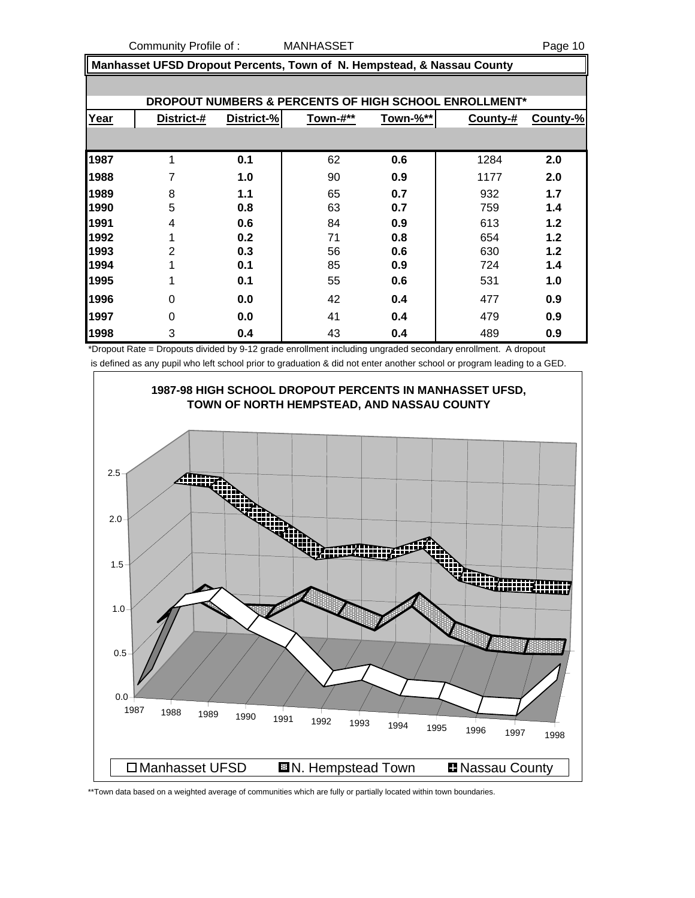Community Profile of : MANHASSET Page 10

 **Manhasset UFSD Dropout Percents, Town of N. Hempstead, & Nassau County**

|      |                |            |          |          | DROPOUT NUMBERS & PERCENTS OF HIGH SCHOOL ENROLLMENT* |          |
|------|----------------|------------|----------|----------|-------------------------------------------------------|----------|
| Year | District-#     | District-% | Town-#** | Town-%** | County-#                                              | County-% |
|      |                |            |          |          |                                                       |          |
| 1987 | 1              | 0.1        | 62       | 0.6      | 1284                                                  | 2.0      |
| 1988 | 7              | 1.0        | 90       | 0.9      | 1177                                                  | 2.0      |
| 1989 | 8              | 1.1        | 65       | 0.7      | 932                                                   | 1.7      |
| 1990 | 5              | 0.8        | 63       | 0.7      | 759                                                   | 1.4      |
| 1991 | 4              | 0.6        | 84       | 0.9      | 613                                                   | 1.2      |
| 1992 | ◢              | 0.2        | 71       | 0.8      | 654                                                   | 1.2      |
| 1993 | $\overline{2}$ | 0.3        | 56       | 0.6      | 630                                                   | 1.2      |
| 1994 | 4              | 0.1        | 85       | 0.9      | 724                                                   | 1.4      |
| 1995 | ◢              | 0.1        | 55       | 0.6      | 531                                                   | 1.0      |
| 1996 | $\Omega$       | 0.0        | 42       | 0.4      | 477                                                   | 0.9      |
| 1997 | $\Omega$       | 0.0        | 41       | 0.4      | 479                                                   | 0.9      |
| 1998 | 3              | 0.4        | 43       | 0.4      | 489                                                   | 0.9      |

\*Dropout Rate = Dropouts divided by 9-12 grade enrollment including ungraded secondary enrollment. A dropout is defined as any pupil who left school prior to graduation & did not enter another school or program leading to a GED.



\*\*Town data based on a weighted average of communities which are fully or partially located within town boundaries.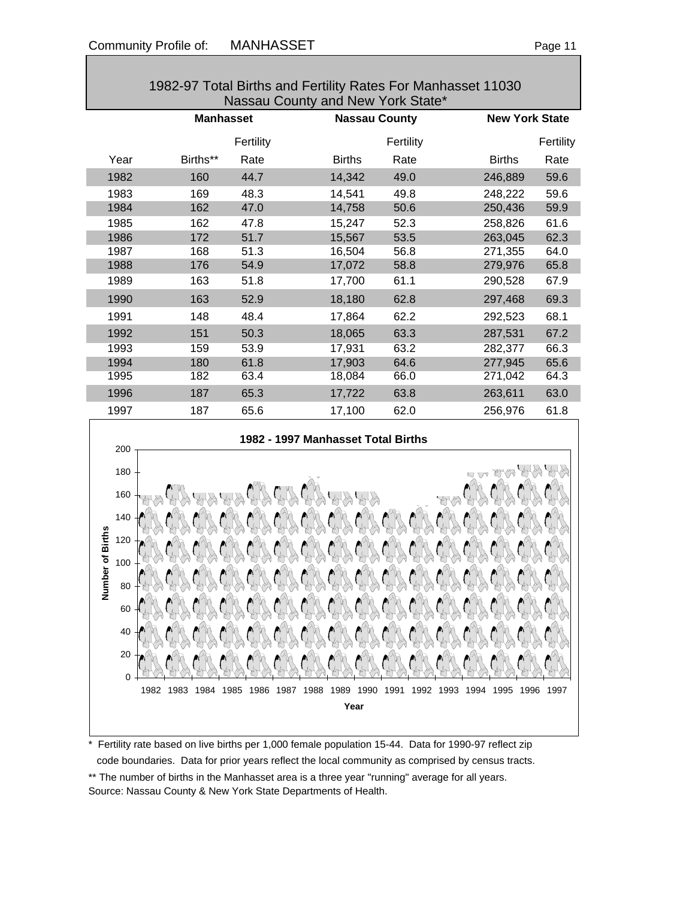0 20 40

60 80

|                         | 1982-97 Total Births and Fertility Rates For Manhasset 11030<br>Nassau County and New York State* |           |                                    |           |                       |           |  |  |
|-------------------------|---------------------------------------------------------------------------------------------------|-----------|------------------------------------|-----------|-----------------------|-----------|--|--|
|                         | <b>Manhasset</b>                                                                                  |           | <b>Nassau County</b>               |           | <b>New York State</b> |           |  |  |
|                         |                                                                                                   | Fertility |                                    | Fertility |                       | Fertility |  |  |
| Year                    | Births**                                                                                          | Rate      | <b>Births</b>                      | Rate      | <b>Births</b>         | Rate      |  |  |
| 1982                    | 160                                                                                               | 44.7      | 14,342                             | 49.0      | 246,889               | 59.6      |  |  |
| 1983                    | 169                                                                                               | 48.3      | 14,541                             | 49.8      | 248,222               | 59.6      |  |  |
| 1984                    | 162                                                                                               | 47.0      | 14,758                             | 50.6      | 250,436               | 59.9      |  |  |
| 1985                    | 162                                                                                               | 47.8      | 15,247                             | 52.3      | 258,826               | 61.6      |  |  |
| 1986                    | 172                                                                                               | 51.7      | 15,567                             | 53.5      | 263,045               | 62.3      |  |  |
| 1987                    | 168                                                                                               | 51.3      | 16,504                             | 56.8      | 271,355               | 64.0      |  |  |
| 1988                    | 176                                                                                               | 54.9      | 17,072                             | 58.8      | 279,976               | 65.8      |  |  |
| 1989                    | 163                                                                                               | 51.8      | 17,700                             | 61.1      | 290,528               | 67.9      |  |  |
| 1990                    | 163                                                                                               | 52.9      | 18,180                             | 62.8      | 297,468               | 69.3      |  |  |
| 1991                    | 148                                                                                               | 48.4      | 17,864                             | 62.2      | 292,523               | 68.1      |  |  |
| 1992                    | 151                                                                                               | 50.3      | 18,065                             | 63.3      | 287,531               | 67.2      |  |  |
| 1993                    | 159                                                                                               | 53.9      | 17,931                             | 63.2      | 282,377               | 66.3      |  |  |
| 1994                    | 180                                                                                               | 61.8      | 17,903                             | 64.6      | 277,945               | 65.6      |  |  |
| 1995                    | 182                                                                                               | 63.4      | 18,084                             | 66.0      | 271,042               | 64.3      |  |  |
| 1996                    | 187                                                                                               | 65.3      | 17,722                             | 63.8      | 263,611               | 63.0      |  |  |
| 1997                    | 187                                                                                               | 65.6      | 17,100                             | 62.0      | 256,976               | 61.8      |  |  |
| 200                     |                                                                                                   |           | 1982 - 1997 Manhasset Total Births |           |                       |           |  |  |
| 180                     |                                                                                                   |           |                                    |           |                       |           |  |  |
| 160                     |                                                                                                   |           |                                    |           |                       |           |  |  |
| 140                     |                                                                                                   |           |                                    |           |                       |           |  |  |
| Number of Births<br>120 |                                                                                                   |           |                                    |           |                       |           |  |  |
| 100                     |                                                                                                   |           |                                    |           |                       |           |  |  |
| 80                      |                                                                                                   |           |                                    |           |                       |           |  |  |

## 1982-97 Total Births and Fertility Rates For Manhasset 11030



1982 1983 1984 1985 1986 1987 1988 1989 1990 1991 1992 1993 1994 1995 1996 1997 **Year**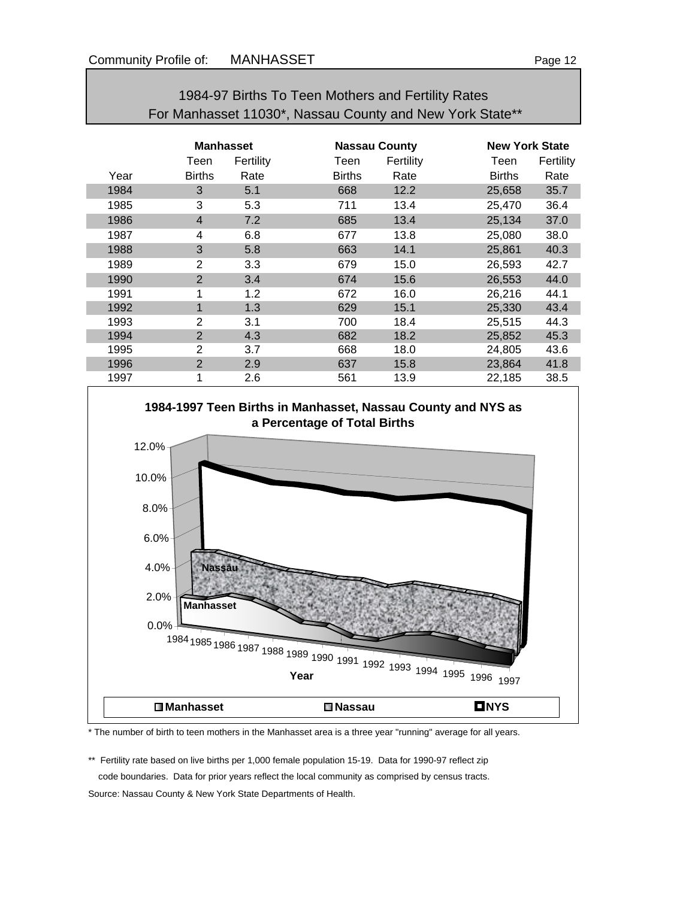|      | For Manhasset 11030*, Nassau County and New York State** |                  |               |                      |               |                       |  |  |
|------|----------------------------------------------------------|------------------|---------------|----------------------|---------------|-----------------------|--|--|
|      |                                                          | <b>Manhasset</b> |               | <b>Nassau County</b> |               | <b>New York State</b> |  |  |
|      | Teen                                                     | Fertility        | Teen          | Fertility            | Teen          | Fertility             |  |  |
| Year | <b>Births</b>                                            | Rate             | <b>Births</b> | Rate                 | <b>Births</b> | Rate                  |  |  |
| 1984 | 3                                                        | 5.1              | 668           | 12.2                 | 25,658        | 35.7                  |  |  |
| 1985 | 3                                                        | 5.3              | 711           | 13.4                 | 25,470        | 36.4                  |  |  |
| 1986 | $\overline{4}$                                           | 7.2              | 685           | 13.4                 | 25,134        | 37.0                  |  |  |
| 1987 | 4                                                        | 6.8              | 677           | 13.8                 | 25,080        | 38.0                  |  |  |
| 1988 | 3                                                        | 5.8              | 663           | 14.1                 | 25,861        | 40.3                  |  |  |
| 1989 | $\overline{2}$                                           | 3.3              | 679           | 15.0                 | 26,593        | 42.7                  |  |  |
| 1990 | $\overline{2}$                                           | 3.4              | 674           | 15.6                 | 26,553        | 44.0                  |  |  |
| 1991 | 1                                                        | 1.2              | 672           | 16.0                 | 26,216        | 44.1                  |  |  |
| 1992 | 1                                                        | 1.3              | 629           | 15.1                 | 25,330        | 43.4                  |  |  |
| 1993 | 2                                                        | 3.1              | 700           | 18.4                 | 25,515        | 44.3                  |  |  |
| 1994 | $\overline{2}$                                           | 4.3              | 682           | 18.2                 | 25,852        | 45.3                  |  |  |
| 1995 | $\overline{2}$                                           | 3.7              | 668           | 18.0                 | 24,805        | 43.6                  |  |  |
| 1996 | $\overline{2}$                                           | 2.9              | 637           | 15.8                 | 23,864        | 41.8                  |  |  |
| 1997 | 1                                                        | 2.6              | 561           | 13.9                 | 22,185        | 38.5                  |  |  |

# 1984-97 Births To Teen Mothers and Fertility Rates



\* The number of birth to teen mothers in the Manhasset area is a three year "running" average for all years.

\*\* Fertility rate based on live births per 1,000 female population 15-19. Data for 1990-97 reflect zip code boundaries. Data for prior years reflect the local community as comprised by census tracts. Source: Nassau County & New York State Departments of Health.